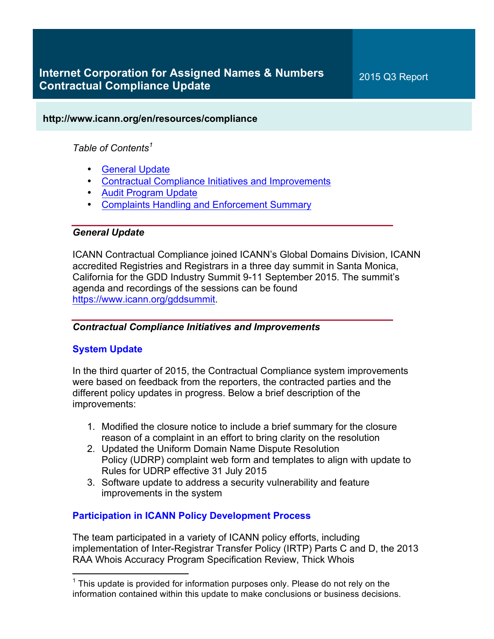## **http://www.icann.org/en/resources/compliance**

## *Table of Contents<sup>1</sup>*

- General Update
- Contractual Compliance Initiatives and Improvements
- Audit Program Update
- Complaints Handling and Enforcement Summary

## *General Update*

ICANN Contractual Compliance joined ICANN's Global Domains Division, ICANN accredited Registries and Registrars in a three day summit in Santa Monica, California for the GDD Industry Summit 9-11 September 2015. The summit's agenda and recordings of the sessions can be found https://www.icann.org/gddsummit.

## *Contractual Compliance Initiatives and Improvements*

## **System Update**

In the third quarter of 2015, the Contractual Compliance system improvements were based on feedback from the reporters, the contracted parties and the different policy updates in progress. Below a brief description of the improvements:

- 1. Modified the closure notice to include a brief summary for the closure reason of a complaint in an effort to bring clarity on the resolution
- 2. Updated the Uniform Domain Name Dispute Resolution Policy (UDRP) complaint web form and templates to align with update to Rules for UDRP effective 31 July 2015
- 3. Software update to address a security vulnerability and feature improvements in the system

## **Participation in ICANN Policy Development Process**

The team participated in a variety of ICANN policy efforts, including implementation of Inter-Registrar Transfer Policy (IRTP) Parts C and D, the 2013 RAA Whois Accuracy Program Specification Review, Thick Whois

 $1$  This update is provided for information purposes only. Please do not rely on the information contained within this update to make conclusions or business decisions.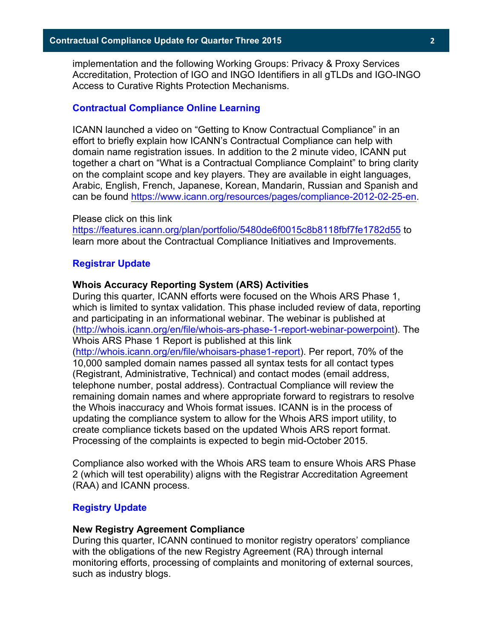implementation and the following Working Groups: Privacy & Proxy Services Accreditation, Protection of IGO and INGO Identifiers in all gTLDs and IGO-INGO Access to Curative Rights Protection Mechanisms.

#### **Contractual Compliance Online Learning**

ICANN launched a video on "Getting to Know Contractual Compliance" in an effort to briefly explain how ICANN's Contractual Compliance can help with domain name registration issues. In addition to the 2 minute video, ICANN put together a chart on "What is a Contractual Compliance Complaint" to bring clarity on the complaint scope and key players. They are available in eight languages, Arabic, English, French, Japanese, Korean, Mandarin, Russian and Spanish and can be found https://www.icann.org/resources/pages/compliance-2012-02-25-en.

#### Please click on this link

https://features.icann.org/plan/portfolio/5480de6f0015c8b8118fbf7fe1782d55 to learn more about the Contractual Compliance Initiatives and Improvements.

#### **Registrar Update**

#### **Whois Accuracy Reporting System (ARS) Activities**

During this quarter, ICANN efforts were focused on the Whois ARS Phase 1, which is limited to syntax validation. This phase included review of data, reporting and participating in an informational webinar. The webinar is published at (http://whois.icann.org/en/file/whois-ars-phase-1-report-webinar-powerpoint). The Whois ARS Phase 1 Report is published at this link (http://whois.icann.org/en/file/whoisars-phase1-report). Per report, 70% of the 10,000 sampled domain names passed all syntax tests for all contact types (Registrant, Administrative, Technical) and contact modes (email address, telephone number, postal address). Contractual Compliance will review the remaining domain names and where appropriate forward to registrars to resolve the Whois inaccuracy and Whois format issues. ICANN is in the process of updating the compliance system to allow for the Whois ARS import utility, to create compliance tickets based on the updated Whois ARS report format. Processing of the complaints is expected to begin mid-October 2015.

Compliance also worked with the Whois ARS team to ensure Whois ARS Phase 2 (which will test operability) aligns with the Registrar Accreditation Agreement (RAA) and ICANN process.

#### **Registry Update**

#### **New Registry Agreement Compliance**

During this quarter, ICANN continued to monitor registry operators' compliance with the obligations of the new Registry Agreement (RA) through internal monitoring efforts, processing of complaints and monitoring of external sources, such as industry blogs.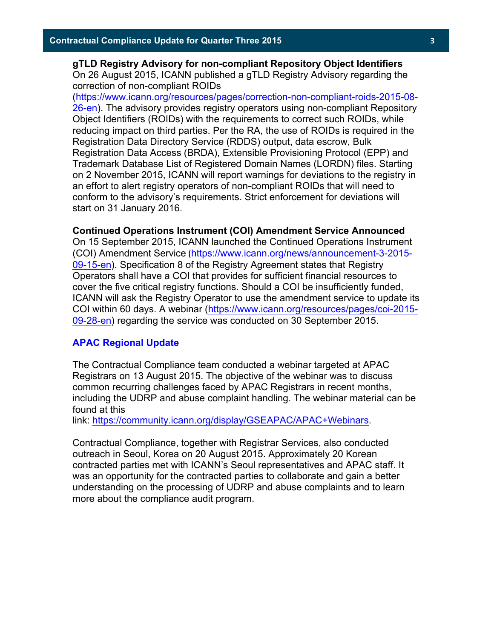**gTLD Registry Advisory for non-compliant Repository Object Identifiers** On 26 August 2015, ICANN published a gTLD Registry Advisory regarding the correction of non-compliant ROIDs

(https://www.icann.org/resources/pages/correction-non-compliant-roids-2015-08- 26-en). The advisory provides registry operators using non-compliant Repository Object Identifiers (ROIDs) with the requirements to correct such ROIDs, while reducing impact on third parties. Per the RA, the use of ROIDs is required in the Registration Data Directory Service (RDDS) output, data escrow, Bulk Registration Data Access (BRDA), Extensible Provisioning Protocol (EPP) and Trademark Database List of Registered Domain Names (LORDN) files. Starting on 2 November 2015, ICANN will report warnings for deviations to the registry in an effort to alert registry operators of non-compliant ROIDs that will need to conform to the advisory's requirements. Strict enforcement for deviations will start on 31 January 2016.

#### **Continued Operations Instrument (COI) Amendment Service Announced**

On 15 September 2015, ICANN launched the Continued Operations Instrument (COI) Amendment Service (https://www.icann.org/news/announcement-3-2015- 09-15-en). Specification 8 of the Registry Agreement states that Registry Operators shall have a COI that provides for sufficient financial resources to cover the five critical registry functions. Should a COI be insufficiently funded, ICANN will ask the Registry Operator to use the amendment service to update its COI within 60 days. A webinar (https://www.icann.org/resources/pages/coi-2015- 09-28-en) regarding the service was conducted on 30 September 2015.

#### **APAC Regional Update**

The Contractual Compliance team conducted a webinar targeted at APAC Registrars on 13 August 2015. The objective of the webinar was to discuss common recurring challenges faced by APAC Registrars in recent months, including the UDRP and abuse complaint handling. The webinar material can be found at this

link: https://community.icann.org/display/GSEAPAC/APAC+Webinars.

Contractual Compliance, together with Registrar Services, also conducted outreach in Seoul, Korea on 20 August 2015. Approximately 20 Korean contracted parties met with ICANN's Seoul representatives and APAC staff. It was an opportunity for the contracted parties to collaborate and gain a better understanding on the processing of UDRP and abuse complaints and to learn more about the compliance audit program.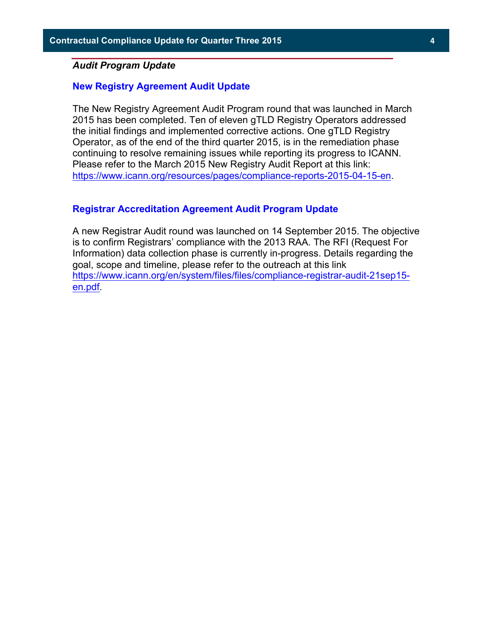#### *Audit Program Update*

#### **New Registry Agreement Audit Update**

The New Registry Agreement Audit Program round that was launched in March 2015 has been completed. Ten of eleven gTLD Registry Operators addressed the initial findings and implemented corrective actions. One gTLD Registry Operator, as of the end of the third quarter 2015, is in the remediation phase continuing to resolve remaining issues while reporting its progress to ICANN. Please refer to the March 2015 New Registry Audit Report at this link: https://www.icann.org/resources/pages/compliance-reports-2015-04-15-en.

#### **Registrar Accreditation Agreement Audit Program Update**

A new Registrar Audit round was launched on 14 September 2015. The objective is to confirm Registrars' compliance with the 2013 RAA. The RFI (Request For Information) data collection phase is currently in-progress. Details regarding the goal, scope and timeline, please refer to the outreach at this link https://www.icann.org/en/system/files/files/compliance-registrar-audit-21sep15 en.pdf.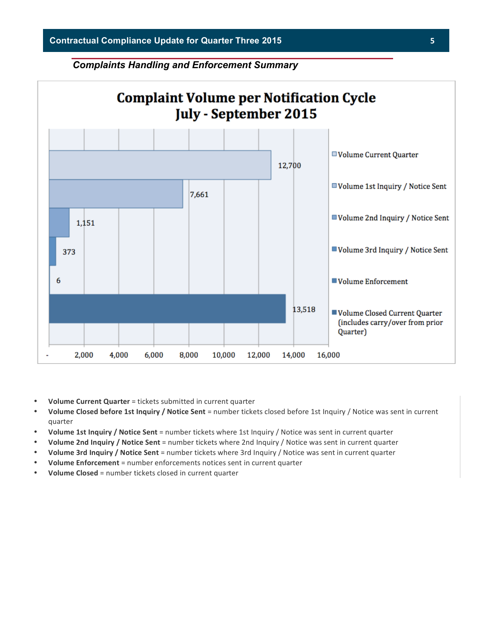#### *Complaints Handling and Enforcement Summary*



- **Volume Current Quarter** = tickets submitted in current quarter
- Volume Closed before 1st Inquiry / Notice Sent = number tickets closed before 1st Inquiry / Notice was sent in current quarter
- **Volume 1st Inquiry / Notice Sent** = number tickets where 1st Inquiry / Notice was sent in current quarter
- **Volume 2nd Inquiry / Notice Sent** = number tickets where 2nd Inquiry / Notice was sent in current quarter
- **Volume 3rd Inquiry / Notice Sent** = number tickets where 3rd Inquiry / Notice was sent in current quarter
- Volume Enforcement = number enforcements notices sent in current quarter
- **Volume Closed** = number tickets closed in current quarter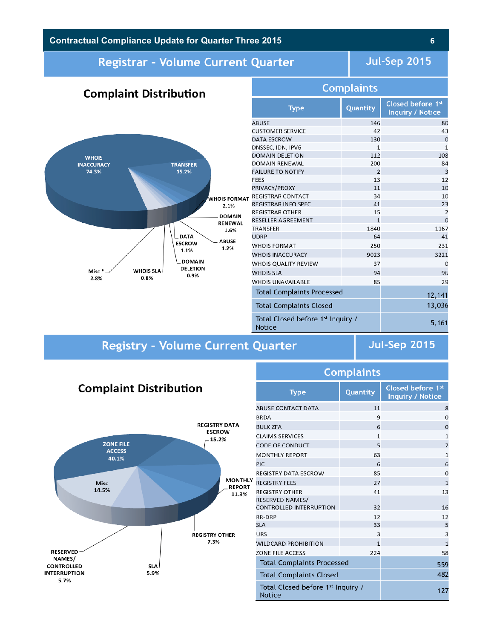## **Contractual Compliance Update for Quarter Three 2015 6**

## **Registrar - Volume Current Quarter**

## **Jul-Sep 2015**

#### **Complaints Complaint Distribution WHOIS INACCURACY TRANSFER** 74.3% 15.2% **WHOIS FORMAT** 2.1% **DOMAIN** RENEWAL  $1.6%$ **DATA ABUSE ESCROW** 1.2% 1.1% DOMAIN **DELETION** Misc\* **WHOIS SLA**  $0.9\%$ 0.8% 2.8%

| <b>Type</b>                                                    | Quantity       | Closed before 1st<br>Inquiry / Notice |
|----------------------------------------------------------------|----------------|---------------------------------------|
| <b>ABUSE</b>                                                   | 146            | 80                                    |
| <b>CUSTOMER SERVICE</b>                                        | 42             | 43                                    |
| <b>DATA ESCROW</b>                                             | 130            | $\Omega$                              |
| DNSSEC, IDN, IPV6                                              | $\mathbf{1}$   | 1                                     |
| <b>DOMAIN DELETION</b>                                         | 112            | 108                                   |
| DOMAIN RENEWAL                                                 | 200            | 84                                    |
| <b>FAILURE TO NOTIFY</b>                                       | $\overline{2}$ | $\overline{3}$                        |
| <b>FEES</b>                                                    | 13             | 12                                    |
| PRIVACY/PROXY                                                  | 11             | 10                                    |
| <b>REGISTRAR CONTACT</b>                                       | 34             | 10                                    |
| <b>REGISTRAR INFO SPEC</b>                                     | 41             | 23                                    |
| <b>REGISTRAR OTHER</b>                                         | 15             | 2                                     |
| RESELLER AGREEMENT                                             | $\mathbf{1}$   | $\Omega$                              |
| TRANSFER                                                       | 1840           | 1167                                  |
| <b>UDRP</b>                                                    | 64             | 41                                    |
| <b>WHOIS FORMAT</b>                                            | 250            | 231                                   |
| <b>WHOIS INACCURACY</b>                                        | 9023           | 3221                                  |
| WHOIS QUALITY REVIEW                                           | 37             | 0                                     |
| <b>WHOIS SLA</b>                                               | 94             | 96                                    |
| <b>WHOIS UNAVAILABLE</b>                                       | 85             | 29                                    |
| <b>Total Complaints Processed</b>                              |                | 12,141                                |
| <b>Total Complaints Closed</b>                                 |                | 13,036                                |
| Total Closed before 1 <sup>st</sup> Inquiry /<br><b>Notice</b> | 5,161          |                                       |

# **Registry - Volume Current Quarter**

**Jul-Sep 2015** 

## **Complaint Distribution**



| مخاطبا المخالف المتعاصمات                                |              |                                       |  |  |  |
|----------------------------------------------------------|--------------|---------------------------------------|--|--|--|
| <b>Type</b>                                              | Quantity     | Closed before 1st<br>Inquiry / Notice |  |  |  |
| <b>ABUSE CONTACT DATA</b>                                | 11           | 8                                     |  |  |  |
| <b>BRDA</b>                                              | 9            | $\Omega$                              |  |  |  |
| <b>BULK ZFA</b>                                          | 6            | $\overline{0}$                        |  |  |  |
| <b>CLAIMS SERVICES</b>                                   | $\mathbf{1}$ | $\mathbf{1}$                          |  |  |  |
| <b>CODE OF CONDUCT</b>                                   | 5            | $\overline{2}$                        |  |  |  |
| <b>MONTHLY REPORT</b>                                    | 63           | $\mathbf{1}$                          |  |  |  |
| <b>PIC</b>                                               | 6            | 6                                     |  |  |  |
| <b>REGISTRY DATA ESCROW</b>                              | 85           | 0                                     |  |  |  |
| <b>REGISTRY FEES</b>                                     | 27           | $\overline{1}$                        |  |  |  |
| <b>REGISTRY OTHER</b>                                    | 41           | 13                                    |  |  |  |
| <b>RESERVED NAMES/</b><br><b>CONTROLLED INTERRUPTION</b> | 32           | 16                                    |  |  |  |
| RR-DRP                                                   | 12           | 12                                    |  |  |  |
| <b>SLA</b>                                               | 33           | 5                                     |  |  |  |
| <b>URS</b>                                               | 3            | $\overline{\mathbf{3}}$               |  |  |  |
| <b>WILDCARD PROHIBITION</b>                              | $\mathbf{1}$ | $\mathbf{1}$                          |  |  |  |
| <b>ZONE FILE ACCESS</b>                                  | 224          | 58                                    |  |  |  |
| <b>Total Complaints Processed</b>                        | 559          |                                       |  |  |  |
| <b>Total Complaints Closed</b>                           | 482          |                                       |  |  |  |
| Total Closed before 1 <sup>st</sup> Inquiry /<br>Notice  | 127          |                                       |  |  |  |

Complaints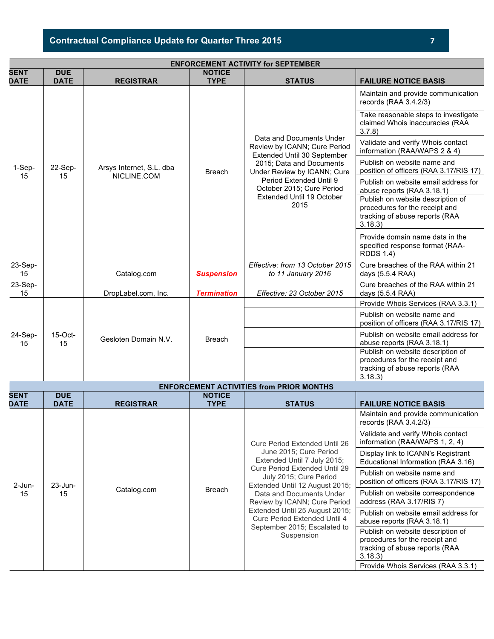# **Contractual Compliance Update for Quarter Three 2015 7**

| <b>ENFORCEMENT ACTIVITY for SEPTEMBER</b>       |                           |                                         |                              |                                                                                                                                                                                                                                                 |                                                                                                                  |
|-------------------------------------------------|---------------------------|-----------------------------------------|------------------------------|-------------------------------------------------------------------------------------------------------------------------------------------------------------------------------------------------------------------------------------------------|------------------------------------------------------------------------------------------------------------------|
| <b>SENT</b><br><b>DATE</b>                      | <b>DUE</b><br><b>DATE</b> | <b>REGISTRAR</b>                        | <b>NOTICE</b><br><b>TYPE</b> | <b>STATUS</b>                                                                                                                                                                                                                                   | <b>FAILURE NOTICE BASIS</b>                                                                                      |
| 1-Sep-<br>15                                    | 22-Sep-<br>15             | Arsys Internet, S.L. dba<br>NICLINE.COM | <b>Breach</b>                | Data and Documents Under<br>Review by ICANN; Cure Period<br>Extended Until 30 September<br>2015; Data and Documents<br>Under Review by ICANN; Cure<br>Period Extended Until 9<br>October 2015; Cure Period<br>Extended Until 19 October<br>2015 | Maintain and provide communication<br>records (RAA 3.4.2/3)                                                      |
|                                                 |                           |                                         |                              |                                                                                                                                                                                                                                                 | Take reasonable steps to investigate<br>claimed Whois inaccuracies (RAA<br>3.7.8                                 |
|                                                 |                           |                                         |                              |                                                                                                                                                                                                                                                 | Validate and verify Whois contact<br>information (RAA/WAPS 2 & 4)                                                |
|                                                 |                           |                                         |                              |                                                                                                                                                                                                                                                 | Publish on website name and<br>position of officers (RAA 3.17/RIS 17)                                            |
|                                                 |                           |                                         |                              |                                                                                                                                                                                                                                                 | Publish on website email address for<br>abuse reports (RAA 3.18.1)                                               |
|                                                 |                           |                                         |                              |                                                                                                                                                                                                                                                 | Publish on website description of<br>procedures for the receipt and<br>tracking of abuse reports (RAA<br>3.18.3  |
|                                                 |                           |                                         |                              |                                                                                                                                                                                                                                                 | Provide domain name data in the<br>specified response format (RAA-<br><b>RDDS 1.4)</b>                           |
| 23-Sep-<br>15                                   |                           | Catalog.com                             | <b>Suspension</b>            | Effective: from 13 October 2015<br>to 11 January 2016                                                                                                                                                                                           | Cure breaches of the RAA within 21<br>days (5.5.4 RAA)                                                           |
| 23-Sep-<br>15                                   |                           | DropLabel.com, Inc.                     | <b>Termination</b>           | Effective: 23 October 2015                                                                                                                                                                                                                      | Cure breaches of the RAA within 21<br>days (5.5.4 RAA)                                                           |
|                                                 | $15$ -Oct-<br>15          | Gesloten Domain N.V.                    | <b>Breach</b>                |                                                                                                                                                                                                                                                 | Provide Whois Services (RAA 3.3.1)                                                                               |
| 24-Sep-<br>15                                   |                           |                                         |                              |                                                                                                                                                                                                                                                 | Publish on website name and<br>position of officers (RAA 3.17/RIS 17)                                            |
|                                                 |                           |                                         |                              |                                                                                                                                                                                                                                                 | Publish on website email address for<br>abuse reports (RAA 3.18.1)                                               |
|                                                 |                           |                                         |                              |                                                                                                                                                                                                                                                 | Publish on website description of<br>procedures for the receipt and<br>tracking of abuse reports (RAA<br>3.18.3) |
| <b>ENFORCEMENT ACTIVITIES from PRIOR MONTHS</b> |                           |                                         |                              |                                                                                                                                                                                                                                                 |                                                                                                                  |
| <b>SENT</b><br><b>DATE</b>                      | <b>DUE</b><br><b>DATE</b> | <b>REGISTRAR</b>                        | <b>NOTICE</b><br><b>TYPE</b> | <b>STATUS</b>                                                                                                                                                                                                                                   | <b>FAILURE NOTICE BASIS</b>                                                                                      |

| SENT<br><b>DATE</b> | <b>DUE</b><br><b>DATE</b> | <b>REGISTRAR</b> | <b>NOTICE</b><br><b>TYPE</b> | <b>STATUS</b>                                                                                                                                                                                                                                                                                                                                                          | <b>FAILURE NOTICE BASIS</b>                                                                                     |
|---------------------|---------------------------|------------------|------------------------------|------------------------------------------------------------------------------------------------------------------------------------------------------------------------------------------------------------------------------------------------------------------------------------------------------------------------------------------------------------------------|-----------------------------------------------------------------------------------------------------------------|
| $2$ -Jun-<br>15     | $23$ -Jun-<br>15          | Catalog.com      | <b>Breach</b>                | <b>Cure Period Extended Until 26</b><br>June 2015; Cure Period<br>Extended Until 7 July 2015;<br>Cure Period Extended Until 29<br>July 2015; Cure Period<br>Extended Until 12 August 2015;<br>Data and Documents Under<br>Review by ICANN; Cure Period<br>Extended Until 25 August 2015;<br>Cure Period Extended Until 4<br>September 2015; Escalated to<br>Suspension | Maintain and provide communication<br>records (RAA 3.4.2/3)                                                     |
|                     |                           |                  |                              |                                                                                                                                                                                                                                                                                                                                                                        | Validate and verify Whois contact<br>information (RAA/WAPS 1, 2, 4)                                             |
|                     |                           |                  |                              |                                                                                                                                                                                                                                                                                                                                                                        | Display link to ICANN's Registrant<br>Educational Information (RAA 3.16)                                        |
|                     |                           |                  |                              |                                                                                                                                                                                                                                                                                                                                                                        | Publish on website name and<br>position of officers (RAA 3.17/RIS 17)                                           |
|                     |                           |                  |                              |                                                                                                                                                                                                                                                                                                                                                                        | Publish on website correspondence<br>address (RAA 3.17/RIS 7)                                                   |
|                     |                           |                  |                              |                                                                                                                                                                                                                                                                                                                                                                        | Publish on website email address for<br>abuse reports (RAA 3.18.1)                                              |
|                     |                           |                  |                              |                                                                                                                                                                                                                                                                                                                                                                        | Publish on website description of<br>procedures for the receipt and<br>tracking of abuse reports (RAA<br>3.18.3 |
|                     |                           |                  |                              |                                                                                                                                                                                                                                                                                                                                                                        | Provide Whois Services (RAA 3.3.1)                                                                              |